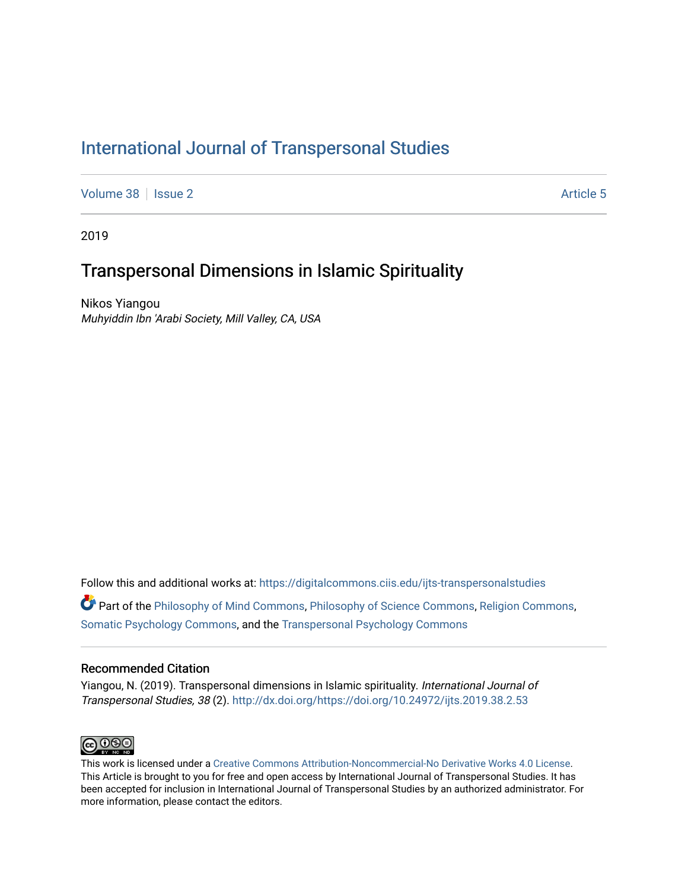# [International Journal of Transpersonal Studies](https://digitalcommons.ciis.edu/ijts-transpersonalstudies)

[Volume 38](https://digitalcommons.ciis.edu/ijts-transpersonalstudies/vol38) | [Issue 2](https://digitalcommons.ciis.edu/ijts-transpersonalstudies/vol38/iss2) Article 5

2019

# Transpersonal Dimensions in Islamic Spirituality

Nikos Yiangou Muhyiddin Ibn 'Arabi Society, Mill Valley, CA, USA

Follow this and additional works at: [https://digitalcommons.ciis.edu/ijts-transpersonalstudies](https://digitalcommons.ciis.edu/ijts-transpersonalstudies?utm_source=digitalcommons.ciis.edu%2Fijts-transpersonalstudies%2Fvol38%2Fiss2%2F5&utm_medium=PDF&utm_campaign=PDFCoverPages)  Part of the [Philosophy of Mind Commons](http://network.bepress.com/hgg/discipline/535?utm_source=digitalcommons.ciis.edu%2Fijts-transpersonalstudies%2Fvol38%2Fiss2%2F5&utm_medium=PDF&utm_campaign=PDFCoverPages), [Philosophy of Science Commons,](http://network.bepress.com/hgg/discipline/536?utm_source=digitalcommons.ciis.edu%2Fijts-transpersonalstudies%2Fvol38%2Fiss2%2F5&utm_medium=PDF&utm_campaign=PDFCoverPages) [Religion Commons](http://network.bepress.com/hgg/discipline/538?utm_source=digitalcommons.ciis.edu%2Fijts-transpersonalstudies%2Fvol38%2Fiss2%2F5&utm_medium=PDF&utm_campaign=PDFCoverPages), [Somatic Psychology Commons,](http://network.bepress.com/hgg/discipline/1431?utm_source=digitalcommons.ciis.edu%2Fijts-transpersonalstudies%2Fvol38%2Fiss2%2F5&utm_medium=PDF&utm_campaign=PDFCoverPages) and the [Transpersonal Psychology Commons](http://network.bepress.com/hgg/discipline/1388?utm_source=digitalcommons.ciis.edu%2Fijts-transpersonalstudies%2Fvol38%2Fiss2%2F5&utm_medium=PDF&utm_campaign=PDFCoverPages) 

# Recommended Citation

Yiangou, N. (2019). Transpersonal dimensions in Islamic spirituality. International Journal of Transpersonal Studies, 38 (2). <http://dx.doi.org/https://doi.org/10.24972/ijts.2019.38.2.53>



This work is licensed under a [Creative Commons Attribution-Noncommercial-No Derivative Works 4.0 License.](https://creativecommons.org/licenses/by-nc-nd/4.0/) This Article is brought to you for free and open access by International Journal of Transpersonal Studies. It has been accepted for inclusion in International Journal of Transpersonal Studies by an authorized administrator. For more information, please contact the editors.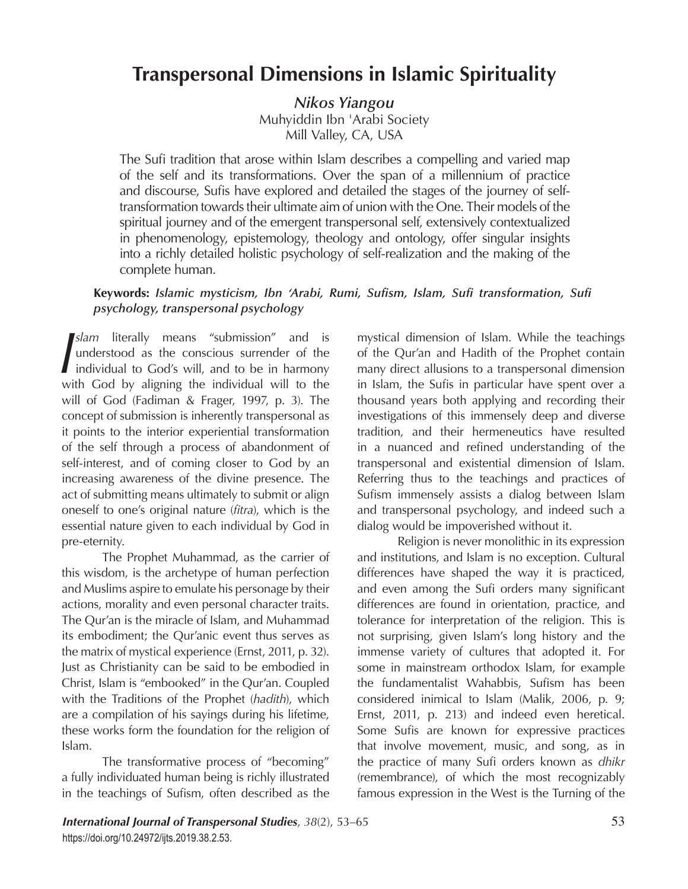# **Transpersonal Dimensions in Islamic Spirituality**

*Nikos Yiangou* Muhyiddin Ibn 'Arabi Society Mill Valley, CA, USA

The Sufi tradition that arose within Islam describes a compelling and varied map of the self and its transformations. Over the span of a millennium of practice and discourse, Sufis have explored and detailed the stages of the journey of selftransformation towards their ultimate aim of union with the One. Their models of the spiritual journey and of the emergent transpersonal self, extensively contextualized in phenomenology, epistemology, theology and ontology, offer singular insights into a richly detailed holistic psychology of self-realization and the making of the complete human.

# **Keywords:** *Islamic mysticism, Ibn 'Arabi, Rumi, Sufism, Islam, Sufi transformation, Sufi psychology, transpersonal psychology*

*I*slam literally means "submission" and is understood as the conscious surrender of the individual to God's will, and to be in harmony with God by aligning the individual will to the *slam* literally means "submission" and is understood as the conscious surrender of the individual to God's will, and to be in harmony will of God (Fadiman & Frager, 1997, p. 3). The concept of submission is inherently transpersonal as it points to the interior experiential transformation of the self through a process of abandonment of self-interest, and of coming closer to God by an increasing awareness of the divine presence. The act of submitting means ultimately to submit or align oneself to one's original nature (*fitra*), which is the essential nature given to each individual by God in pre-eternity.

The Prophet Muhammad, as the carrier of this wisdom, is the archetype of human perfection and Muslims aspire to emulate his personage by their actions, morality and even personal character traits. The Qur'an is the miracle of Islam, and Muhammad its embodiment; the Qur'anic event thus serves as the matrix of mystical experience (Ernst, 2011, p. 32). Just as Christianity can be said to be embodied in Christ, Islam is "embooked" in the Qur'an. Coupled with the Traditions of the Prophet (*hadith*), which are a compilation of his sayings during his lifetime, these works form the foundation for the religion of Islam.

The transformative process of "becoming" a fully individuated human being is richly illustrated in the teachings of Sufism, often described as the mystical dimension of Islam. While the teachings of the Qur'an and Hadith of the Prophet contain many direct allusions to a transpersonal dimension in Islam, the Sufis in particular have spent over a thousand years both applying and recording their investigations of this immensely deep and diverse tradition, and their hermeneutics have resulted in a nuanced and refined understanding of the transpersonal and existential dimension of Islam. Referring thus to the teachings and practices of Sufism immensely assists a dialog between Islam and transpersonal psychology, and indeed such a dialog would be impoverished without it.

Religion is never monolithic in its expression and institutions, and Islam is no exception. Cultural differences have shaped the way it is practiced, and even among the Sufi orders many significant differences are found in orientation, practice, and tolerance for interpretation of the religion. This is not surprising, given Islam's long history and the immense variety of cultures that adopted it. For some in mainstream orthodox Islam, for example the fundamentalist Wahabbis, Sufism has been considered inimical to Islam (Malik, 2006, p. 9; Ernst, 2011, p. 213) and indeed even heretical. Some Sufis are known for expressive practices that involve movement, music, and song, as in the practice of many Sufi orders known as *dhikr* (remembrance), of which the most recognizably famous expression in the West is the Turning of the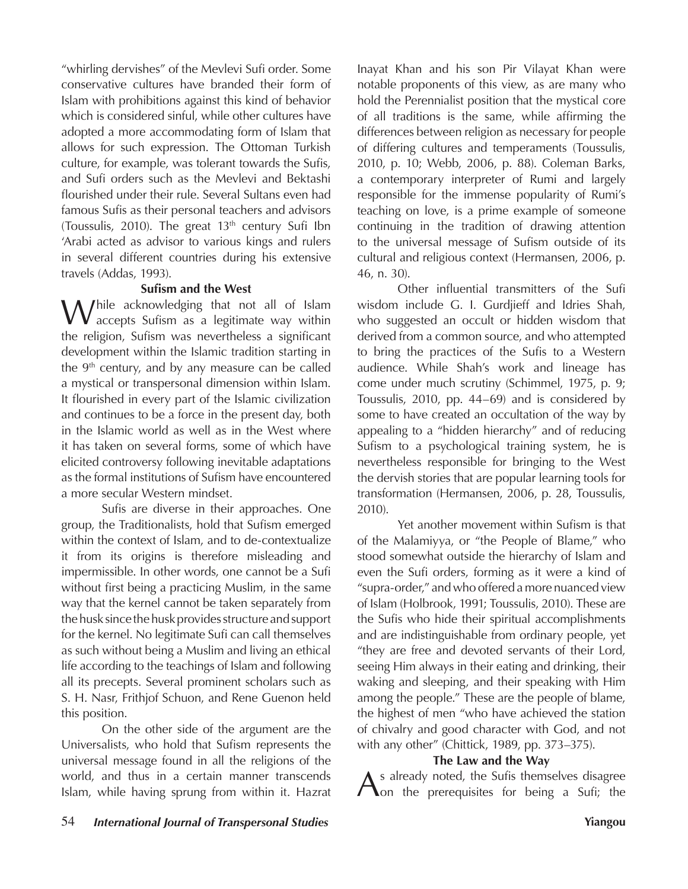"whirling dervishes" of the Mevlevi Sufi order. Some conservative cultures have branded their form of Islam with prohibitions against this kind of behavior which is considered sinful, while other cultures have adopted a more accommodating form of Islam that allows for such expression. The Ottoman Turkish culture, for example, was tolerant towards the Sufis, and Sufi orders such as the Mevlevi and Bektashi flourished under their rule. Several Sultans even had famous Sufis as their personal teachers and advisors (Toussulis, 2010). The great  $13<sup>th</sup>$  century Sufi Ibn 'Arabi acted as advisor to various kings and rulers in several different countries during his extensive travels (Addas, 1993).

## **Sufism and the West**

M / hile acknowledging that not all of Islam accepts Sufism as a legitimate way within the religion, Sufism was nevertheless a significant development within the Islamic tradition starting in the  $9<sup>th</sup>$  century, and by any measure can be called a mystical or transpersonal dimension within Islam. It flourished in every part of the Islamic civilization and continues to be a force in the present day, both in the Islamic world as well as in the West where it has taken on several forms, some of which have elicited controversy following inevitable adaptations as the formal institutions of Sufism have encountered a more secular Western mindset.

Sufis are diverse in their approaches. One group, the Traditionalists, hold that Sufism emerged within the context of Islam, and to de-contextualize it from its origins is therefore misleading and impermissible. In other words, one cannot be a Sufi without first being a practicing Muslim, in the same way that the kernel cannot be taken separately from the husk since the husk provides structure and support for the kernel. No legitimate Sufi can call themselves as such without being a Muslim and living an ethical life according to the teachings of Islam and following all its precepts. Several prominent scholars such as S. H. Nasr, Frithjof Schuon, and Rene Guenon held this position.

On the other side of the argument are the Universalists, who hold that Sufism represents the universal message found in all the religions of the world, and thus in a certain manner transcends Islam, while having sprung from within it. Hazrat

Inayat Khan and his son Pir Vilayat Khan were notable proponents of this view, as are many who hold the Perennialist position that the mystical core of all traditions is the same, while affirming the differences between religion as necessary for people of differing cultures and temperaments (Toussulis, 2010, p. 10; Webb, 2006, p. 88). Coleman Barks, a contemporary interpreter of Rumi and largely responsible for the immense popularity of Rumi's teaching on love, is a prime example of someone continuing in the tradition of drawing attention to the universal message of Sufism outside of its cultural and religious context (Hermansen, 2006, p. 46, n. 30).

Other influential transmitters of the Sufi wisdom include G. I. Gurdjieff and Idries Shah, who suggested an occult or hidden wisdom that derived from a common source, and who attempted to bring the practices of the Sufis to a Western audience. While Shah's work and lineage has come under much scrutiny (Schimmel, 1975, p. 9; Toussulis, 2010, pp. 44–69) and is considered by some to have created an occultation of the way by appealing to a "hidden hierarchy" and of reducing Sufism to a psychological training system, he is nevertheless responsible for bringing to the West the dervish stories that are popular learning tools for transformation (Hermansen, 2006, p. 28, Toussulis, 2010).

Yet another movement within Sufism is that of the Malamiyya, or "the People of Blame," who stood somewhat outside the hierarchy of Islam and even the Sufi orders, forming as it were a kind of "supra-order," and who offered a more nuanced view of Islam (Holbrook, 1991; Toussulis, 2010). These are the Sufis who hide their spiritual accomplishments and are indistinguishable from ordinary people, yet "they are free and devoted servants of their Lord, seeing Him always in their eating and drinking, their waking and sleeping, and their speaking with Him among the people." These are the people of blame, the highest of men "who have achieved the station of chivalry and good character with God, and not with any other" (Chittick, 1989, pp. 373–375).

### **The Law and the Way**

As already noted, the Sufis themselves disagree<br> **As already noted, the Sufis themselves disagree**<br> **On** the prerequisites for being a Sufi; the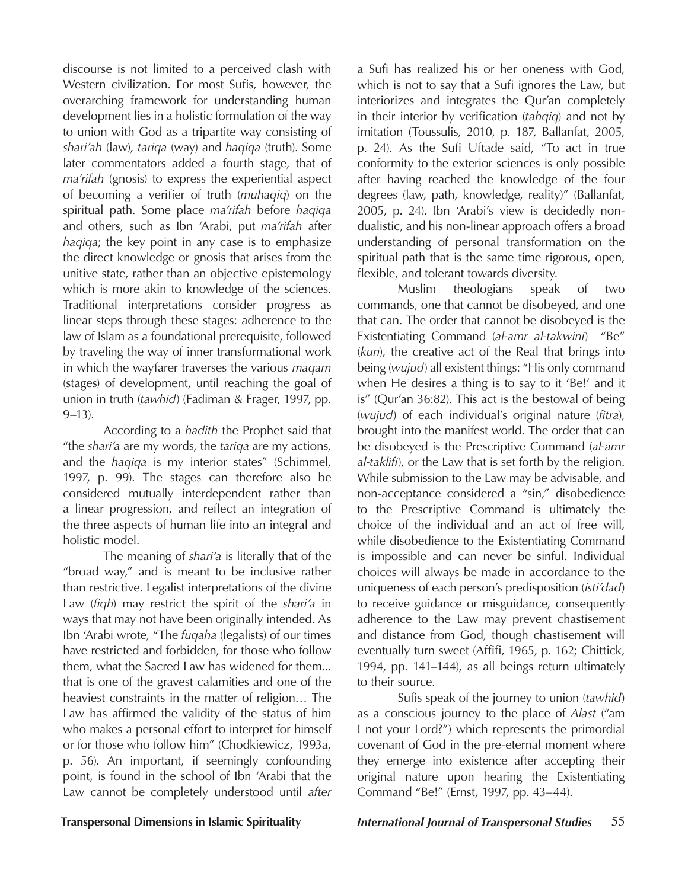discourse is not limited to a perceived clash with Western civilization. For most Sufis, however, the overarching framework for understanding human development lies in a holistic formulation of the way to union with God as a tripartite way consisting of *shari'ah* (law), *tariqa* (way) and *haqiqa* (truth). Some later commentators added a fourth stage, that of *ma'rifah* (gnosis) to express the experiential aspect of becoming a verifier of truth (*muhaqiq*) on the spiritual path. Some place *ma'rifah* before *haqiqa* and others, such as Ibn 'Arabi, put *ma'rifah* after *haqiqa*; the key point in any case is to emphasize the direct knowledge or gnosis that arises from the unitive state, rather than an objective epistemology which is more akin to knowledge of the sciences. Traditional interpretations consider progress as linear steps through these stages: adherence to the law of Islam as a foundational prerequisite, followed by traveling the way of inner transformational work in which the wayfarer traverses the various *maqam* (stages) of development, until reaching the goal of union in truth (*tawhid*) (Fadiman & Frager, 1997, pp. 9–13).

According to a *hadith* the Prophet said that "the *shari'a* are my words, the *tariqa* are my actions, and the *haqiqa* is my interior states" (Schimmel, 1997, p. 99). The stages can therefore also be considered mutually interdependent rather than a linear progression, and reflect an integration of the three aspects of human life into an integral and holistic model.

The meaning of *shari'a* is literally that of the "broad way," and is meant to be inclusive rather than restrictive. Legalist interpretations of the divine Law (*fiqh*) may restrict the spirit of the *shari'a* in ways that may not have been originally intended. As Ibn 'Arabi wrote, "The *fuqaha* (legalists) of our times have restricted and forbidden, for those who follow them, what the Sacred Law has widened for them... that is one of the gravest calamities and one of the heaviest constraints in the matter of religion… The Law has affirmed the validity of the status of him who makes a personal effort to interpret for himself or for those who follow him" (Chodkiewicz, 1993a, p. 56). An important, if seemingly confounding point, is found in the school of Ibn 'Arabi that the Law cannot be completely understood until *after*

a Sufi has realized his or her oneness with God, which is not to say that a Sufi ignores the Law, but interiorizes and integrates the Qur'an completely in their interior by verification (*tahqiq*) and not by imitation (Toussulis, 2010, p. 187, Ballanfat, 2005, p. 24). As the Sufi Uftade said, "To act in true conformity to the exterior sciences is only possible after having reached the knowledge of the four degrees (law, path, knowledge, reality)" (Ballanfat, 2005, p. 24). Ibn 'Arabi's view is decidedly nondualistic, and his non-linear approach offers a broad understanding of personal transformation on the spiritual path that is the same time rigorous, open, flexible, and tolerant towards diversity.

Muslim theologians speak of two commands, one that cannot be disobeyed, and one that can. The order that cannot be disobeyed is the Existentiating Command (*al-amr al-takwini*) "Be" (*kun*), the creative act of the Real that brings into being (*wujud*) all existent things: "His only command when He desires a thing is to say to it 'Be!' and it is" (Qur'an 36:82). This act is the bestowal of being (*wujud*) of each individual's original nature (*fitra*), brought into the manifest world. The order that can be disobeyed is the Prescriptive Command (*al-amr al-taklifi*), or the Law that is set forth by the religion. While submission to the Law may be advisable, and non-acceptance considered a "sin," disobedience to the Prescriptive Command is ultimately the choice of the individual and an act of free will, while disobedience to the Existentiating Command is impossible and can never be sinful. Individual choices will always be made in accordance to the uniqueness of each person's predisposition (*isti'dad*) to receive guidance or misguidance, consequently adherence to the Law may prevent chastisement and distance from God, though chastisement will eventually turn sweet (Affifi, 1965, p. 162; Chittick, 1994, pp. 141–144), as all beings return ultimately to their source.

Sufis speak of the journey to union (*tawhid*) as a conscious journey to the place of *Alast* ("am I not your Lord?") which represents the primordial covenant of God in the pre-eternal moment where they emerge into existence after accepting their original nature upon hearing the Existentiating Command "Be!" (Ernst, 1997, pp. 43–44).

# **Transpersonal Dimensions in Islamic Spirituality** *International Journal of Transpersonal Studies* 55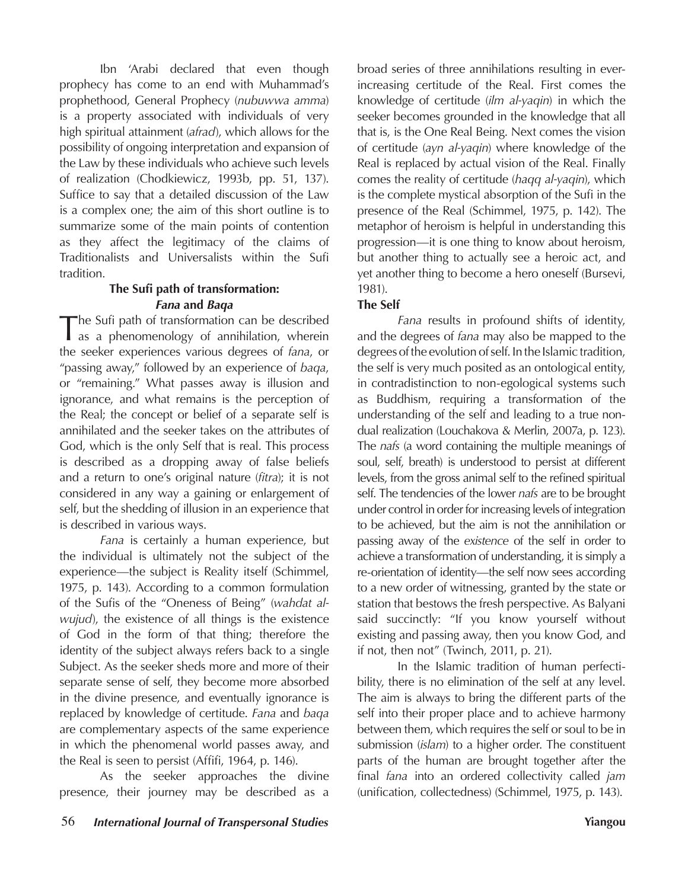Ibn 'Arabi declared that even though prophecy has come to an end with Muhammad's prophethood, General Prophecy (*nubuwwa amma*) is a property associated with individuals of very high spiritual attainment (*afrad*), which allows for the possibility of ongoing interpretation and expansion of the Law by these individuals who achieve such levels of realization (Chodkiewicz, 1993b, pp. 51, 137). Suffice to say that a detailed discussion of the Law is a complex one; the aim of this short outline is to summarize some of the main points of contention as they affect the legitimacy of the claims of Traditionalists and Universalists within the Sufi tradition.

# **The Sufi path of transformation:**  *Fana* **and** *Baqa*

The Sufi path of transformation can be described as a phenomenology of annihilation, wherein the seeker experiences various degrees of *fana*, or "passing away," followed by an experience of *baqa*, or "remaining." What passes away is illusion and ignorance, and what remains is the perception of the Real; the concept or belief of a separate self is annihilated and the seeker takes on the attributes of God, which is the only Self that is real. This process is described as a dropping away of false beliefs and a return to one's original nature (*fitra*); it is not considered in any way a gaining or enlargement of self, but the shedding of illusion in an experience that is described in various ways.

*Fana* is certainly a human experience, but the individual is ultimately not the subject of the experience—the subject is Reality itself (Schimmel, 1975, p. 143). According to a common formulation of the Sufis of the "Oneness of Being" (*wahdat alwujud*), the existence of all things is the existence of God in the form of that thing; therefore the identity of the subject always refers back to a single Subject. As the seeker sheds more and more of their separate sense of self, they become more absorbed in the divine presence, and eventually ignorance is replaced by knowledge of certitude. *Fana* and *baqa* are complementary aspects of the same experience in which the phenomenal world passes away, and the Real is seen to persist (Affifi, 1964, p. 146).

As the seeker approaches the divine presence, their journey may be described as a broad series of three annihilations resulting in everincreasing certitude of the Real. First comes the knowledge of certitude (*ilm al-yaqin*) in which the seeker becomes grounded in the knowledge that all that is, is the One Real Being. Next comes the vision of certitude (*ayn al-yaqin*) where knowledge of the Real is replaced by actual vision of the Real. Finally comes the reality of certitude (*haqq al-yaqin*), which is the complete mystical absorption of the Sufi in the presence of the Real (Schimmel, 1975, p. 142). The metaphor of heroism is helpful in understanding this progression—it is one thing to know about heroism, but another thing to actually see a heroic act, and yet another thing to become a hero oneself (Bursevi, 1981).

# **The Self**

*Fana* results in profound shifts of identity, and the degrees of *fana* may also be mapped to the degrees of the evolution of self. In the Islamic tradition, the self is very much posited as an ontological entity, in contradistinction to non-egological systems such as Buddhism, requiring a transformation of the understanding of the self and leading to a true nondual realization (Louchakova & Merlin, 2007a, p. 123). The *nafs* (a word containing the multiple meanings of soul, self, breath) is understood to persist at different levels, from the gross animal self to the refined spiritual self. The tendencies of the lower *nafs* are to be brought under control in order for increasing levels of integration to be achieved, but the aim is not the annihilation or passing away of the *existence* of the self in order to achieve a transformation of understanding, it is simply a re-orientation of identity—the self now sees according to a new order of witnessing, granted by the state or station that bestows the fresh perspective. As Balyani said succinctly: "If you know yourself without existing and passing away, then you know God, and if not, then not" (Twinch, 2011, p. 21).

In the Islamic tradition of human perfectibility, there is no elimination of the self at any level. The aim is always to bring the different parts of the self into their proper place and to achieve harmony between them, which requires the self or soul to be in submission (*islam*) to a higher order. The constituent parts of the human are brought together after the final *fana* into an ordered collectivity called *jam* (unification, collectedness) (Schimmel, 1975, p. 143).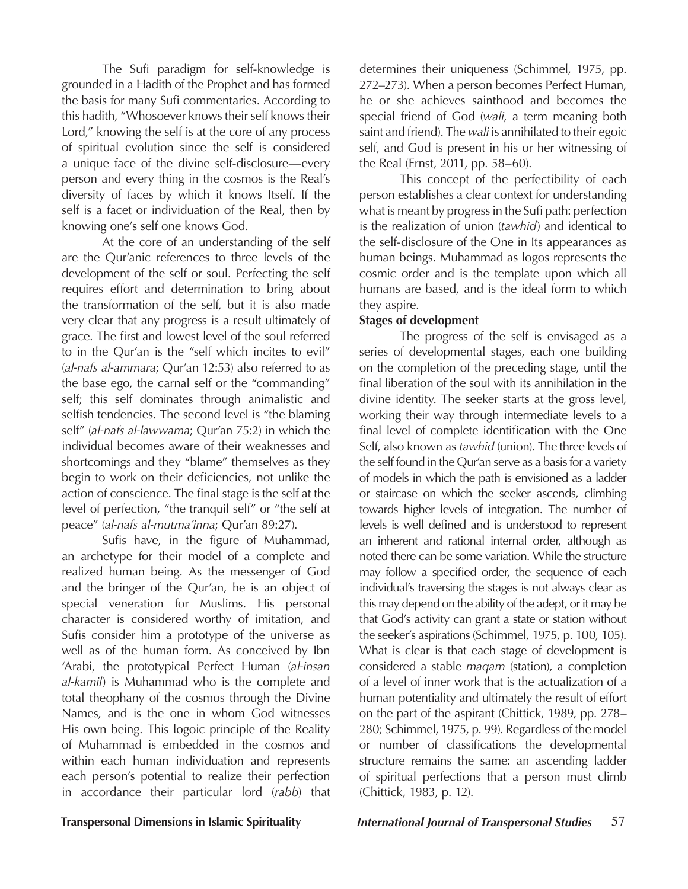The Sufi paradigm for self-knowledge is grounded in a Hadith of the Prophet and has formed the basis for many Sufi commentaries. According to this hadith, "Whosoever knows their self knows their Lord," knowing the self is at the core of any process of spiritual evolution since the self is considered a unique face of the divine self-disclosure—every person and every thing in the cosmos is the Real's diversity of faces by which it knows Itself. If the self is a facet or individuation of the Real, then by knowing one's self one knows God.

At the core of an understanding of the self are the Qur'anic references to three levels of the development of the self or soul. Perfecting the self requires effort and determination to bring about the transformation of the self, but it is also made very clear that any progress is a result ultimately of grace. The first and lowest level of the soul referred to in the Qur'an is the "self which incites to evil" (*al-nafs al-ammara*; Qur'an 12:53) also referred to as the base ego, the carnal self or the "commanding" self; this self dominates through animalistic and selfish tendencies. The second level is "the blaming self" (*al-nafs al-lawwama*; Qur'an 75:2) in which the individual becomes aware of their weaknesses and shortcomings and they "blame" themselves as they begin to work on their deficiencies, not unlike the action of conscience. The final stage is the self at the level of perfection, "the tranquil self" or "the self at peace" (*al-nafs al-mutma'inna*; Qur'an 89:27).

Sufis have, in the figure of Muhammad, an archetype for their model of a complete and realized human being. As the messenger of God and the bringer of the Qur'an, he is an object of special veneration for Muslims. His personal character is considered worthy of imitation, and Sufis consider him a prototype of the universe as well as of the human form. As conceived by Ibn 'Arabi, the prototypical Perfect Human (*al-insan al-kamil*) is Muhammad who is the complete and total theophany of the cosmos through the Divine Names, and is the one in whom God witnesses His own being. This logoic principle of the Reality of Muhammad is embedded in the cosmos and within each human individuation and represents each person's potential to realize their perfection in accordance their particular lord (*rabb*) that

determines their uniqueness (Schimmel, 1975, pp. 272–273). When a person becomes Perfect Human, he or she achieves sainthood and becomes the special friend of God (*wali*, a term meaning both saint and friend). The *wali* is annihilated to their egoic self, and God is present in his or her witnessing of the Real (Ernst, 2011, pp. 58–60).

This concept of the perfectibility of each person establishes a clear context for understanding what is meant by progress in the Sufi path: perfection is the realization of union (*tawhid*) and identical to the self-disclosure of the One in Its appearances as human beings. Muhammad as logos represents the cosmic order and is the template upon which all humans are based, and is the ideal form to which they aspire.

# **Stages of development**

The progress of the self is envisaged as a series of developmental stages, each one building on the completion of the preceding stage, until the final liberation of the soul with its annihilation in the divine identity. The seeker starts at the gross level, working their way through intermediate levels to a final level of complete identification with the One Self, also known as *tawhid* (union). The three levels of the self found in the Qur'an serve as a basis for a variety of models in which the path is envisioned as a ladder or staircase on which the seeker ascends, climbing towards higher levels of integration. The number of levels is well defined and is understood to represent an inherent and rational internal order, although as noted there can be some variation. While the structure may follow a specified order, the sequence of each individual's traversing the stages is not always clear as this may depend on the ability of the adept, or it may be that God's activity can grant a state or station without the seeker's aspirations (Schimmel, 1975, p. 100, 105). What is clear is that each stage of development is considered a stable *maqam* (station), a completion of a level of inner work that is the actualization of a human potentiality and ultimately the result of effort on the part of the aspirant (Chittick, 1989, pp. 278– 280; Schimmel, 1975, p. 99). Regardless of the model or number of classifications the developmental structure remains the same: an ascending ladder of spiritual perfections that a person must climb (Chittick, 1983, p. 12).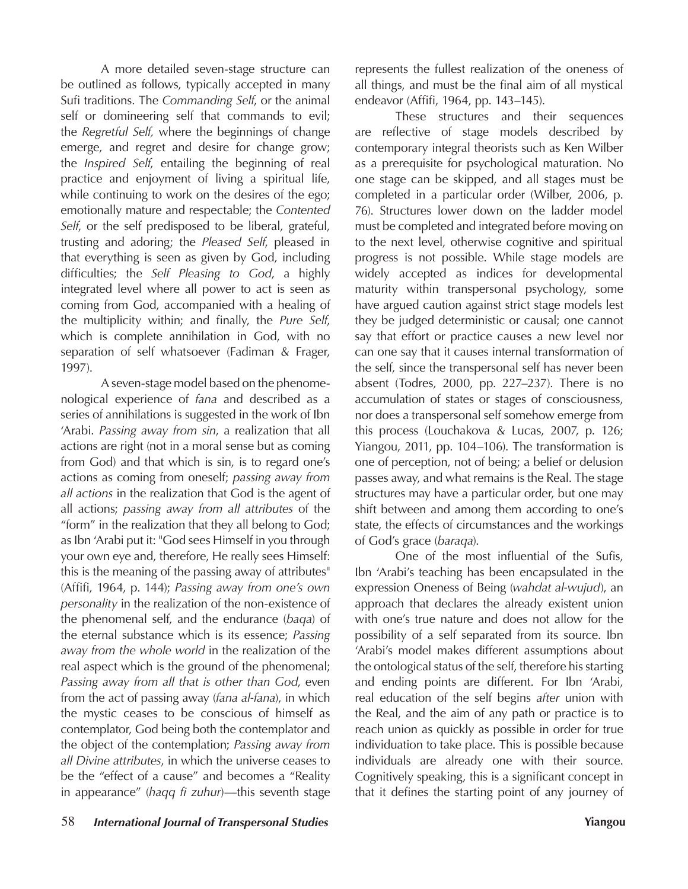A more detailed seven-stage structure can be outlined as follows, typically accepted in many Sufi traditions. The *Commanding Self*, or the animal self or domineering self that commands to evil; the *Regretful Self,* where the beginnings of change emerge, and regret and desire for change grow; the *Inspired Self*, entailing the beginning of real practice and enjoyment of living a spiritual life, while continuing to work on the desires of the ego; emotionally mature and respectable; the *Contented Self*, or the self predisposed to be liberal, grateful, trusting and adoring; the *Pleased Self*, pleased in that everything is seen as given by God, including difficulties; the *Self Pleasing to God*, a highly integrated level where all power to act is seen as coming from God, accompanied with a healing of the multiplicity within; and finally, the *Pure Self*, which is complete annihilation in God, with no separation of self whatsoever (Fadiman & Frager, 1997).

A seven-stage model based on the phenomenological experience of *fana* and described as a series of annihilations is suggested in the work of Ibn 'Arabi. *Passing away from sin*, a realization that all actions are right (not in a moral sense but as coming from God) and that which is sin, is to regard one's actions as coming from oneself; *passing away from all actions* in the realization that God is the agent of all actions; *passing away from all attributes* of the "form" in the realization that they all belong to God; as Ibn 'Arabi put it: "God sees Himself in you through your own eye and, therefore, He really sees Himself: this is the meaning of the passing away of attributes" (Affifi, 1964, p. 144); *Passing away from one's own personality* in the realization of the non-existence of the phenomenal self, and the endurance (*baqa*) of the eternal substance which is its essence; *Passing away from the whole world* in the realization of the real aspect which is the ground of the phenomenal; *Passing away from all that is other than God*, even from the act of passing away (*fana al-fana*), in which the mystic ceases to be conscious of himself as contemplator, God being both the contemplator and the object of the contemplation; *Passing away from all Divine attributes*, in which the universe ceases to be the "effect of a cause" and becomes a "Reality in appearance" (*haqq fi zuhur*)—this seventh stage

represents the fullest realization of the oneness of all things, and must be the final aim of all mystical endeavor (Affifi, 1964, pp. 143–145).

These structures and their sequences are reflective of stage models described by contemporary integral theorists such as Ken Wilber as a prerequisite for psychological maturation. No one stage can be skipped, and all stages must be completed in a particular order (Wilber, 2006, p. 76). Structures lower down on the ladder model must be completed and integrated before moving on to the next level, otherwise cognitive and spiritual progress is not possible. While stage models are widely accepted as indices for developmental maturity within transpersonal psychology, some have argued caution against strict stage models lest they be judged deterministic or causal; one cannot say that effort or practice causes a new level nor can one say that it causes internal transformation of the self, since the transpersonal self has never been absent (Todres, 2000, pp. 227–237). There is no accumulation of states or stages of consciousness, nor does a transpersonal self somehow emerge from this process (Louchakova & Lucas, 2007, p. 126; Yiangou, 2011, pp. 104–106). The transformation is one of perception, not of being; a belief or delusion passes away, and what remains is the Real. The stage structures may have a particular order, but one may shift between and among them according to one's state, the effects of circumstances and the workings of God's grace (*baraqa*).

One of the most influential of the Sufis, Ibn 'Arabi's teaching has been encapsulated in the expression Oneness of Being (*wahdat al-wujud*), an approach that declares the already existent union with one's true nature and does not allow for the possibility of a self separated from its source. Ibn 'Arabi's model makes different assumptions about the ontological status of the self, therefore his starting and ending points are different. For Ibn 'Arabi, real education of the self begins *after* union with the Real, and the aim of any path or practice is to reach union as quickly as possible in order for true individuation to take place. This is possible because individuals are already one with their source. Cognitively speaking, this is a significant concept in that it defines the starting point of any journey of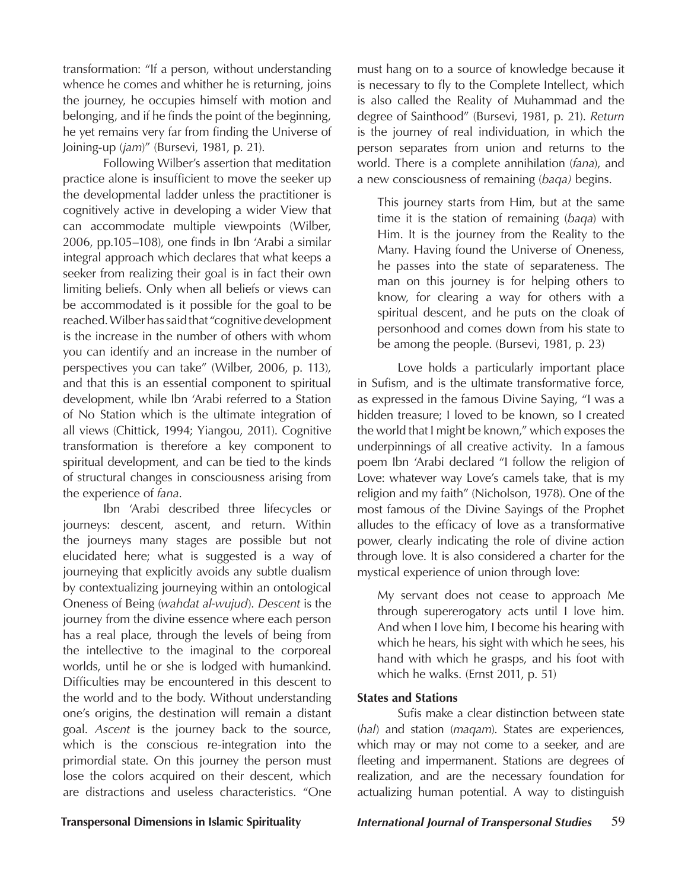transformation: "If a person, without understanding whence he comes and whither he is returning, joins the journey, he occupies himself with motion and belonging, and if he finds the point of the beginning, he yet remains very far from finding the Universe of Joining-up (*jam*)" (Bursevi, 1981, p. 21).

Following Wilber's assertion that meditation practice alone is insufficient to move the seeker up the developmental ladder unless the practitioner is cognitively active in developing a wider View that can accommodate multiple viewpoints (Wilber, 2006, pp.105–108), one finds in Ibn 'Arabi a similar integral approach which declares that what keeps a seeker from realizing their goal is in fact their own limiting beliefs. Only when all beliefs or views can be accommodated is it possible for the goal to be reached. Wilber has said that "cognitive development is the increase in the number of others with whom you can identify and an increase in the number of perspectives you can take" (Wilber, 2006, p. 113), and that this is an essential component to spiritual development, while Ibn 'Arabi referred to a Station of No Station which is the ultimate integration of all views (Chittick, 1994; Yiangou, 2011). Cognitive transformation is therefore a key component to spiritual development, and can be tied to the kinds of structural changes in consciousness arising from the experience of *fana*.

Ibn 'Arabi described three lifecycles or journeys: descent, ascent, and return. Within the journeys many stages are possible but not elucidated here; what is suggested is a way of journeying that explicitly avoids any subtle dualism by contextualizing journeying within an ontological Oneness of Being (*wahdat al-wujud*). *Descent* is the journey from the divine essence where each person has a real place, through the levels of being from the intellective to the imaginal to the corporeal worlds, until he or she is lodged with humankind. Difficulties may be encountered in this descent to the world and to the body. Without understanding one's origins, the destination will remain a distant goal. *Ascent* is the journey back to the source, which is the conscious re-integration into the primordial state. On this journey the person must lose the colors acquired on their descent, which are distractions and useless characteristics. "One

must hang on to a source of knowledge because it is necessary to fly to the Complete Intellect, which is also called the Reality of Muhammad and the degree of Sainthood" (Bursevi, 1981, p. 21). *Return* is the journey of real individuation, in which the person separates from union and returns to the world. There is a complete annihilation (*fana*), and a new consciousness of remaining (*baqa)* begins.

This journey starts from Him, but at the same time it is the station of remaining (*baqa*) with Him. It is the journey from the Reality to the Many. Having found the Universe of Oneness, he passes into the state of separateness. The man on this journey is for helping others to know, for clearing a way for others with a spiritual descent, and he puts on the cloak of personhood and comes down from his state to be among the people. (Bursevi, 1981, p. 23)

Love holds a particularly important place in Sufism, and is the ultimate transformative force, as expressed in the famous Divine Saying, "I was a hidden treasure; I loved to be known, so I created the world that I might be known," which exposes the underpinnings of all creative activity. In a famous poem Ibn 'Arabi declared "I follow the religion of Love: whatever way Love's camels take, that is my religion and my faith" (Nicholson, 1978). One of the most famous of the Divine Sayings of the Prophet alludes to the efficacy of love as a transformative power, clearly indicating the role of divine action through love. It is also considered a charter for the mystical experience of union through love:

My servant does not cease to approach Me through supererogatory acts until I love him. And when I love him, I become his hearing with which he hears, his sight with which he sees, his hand with which he grasps, and his foot with which he walks. (Ernst 2011, p. 51)

## **States and Stations**

Sufis make a clear distinction between state (*hal*) and station (*maqam*). States are experiences, which may or may not come to a seeker, and are fleeting and impermanent. Stations are degrees of realization, and are the necessary foundation for actualizing human potential. A way to distinguish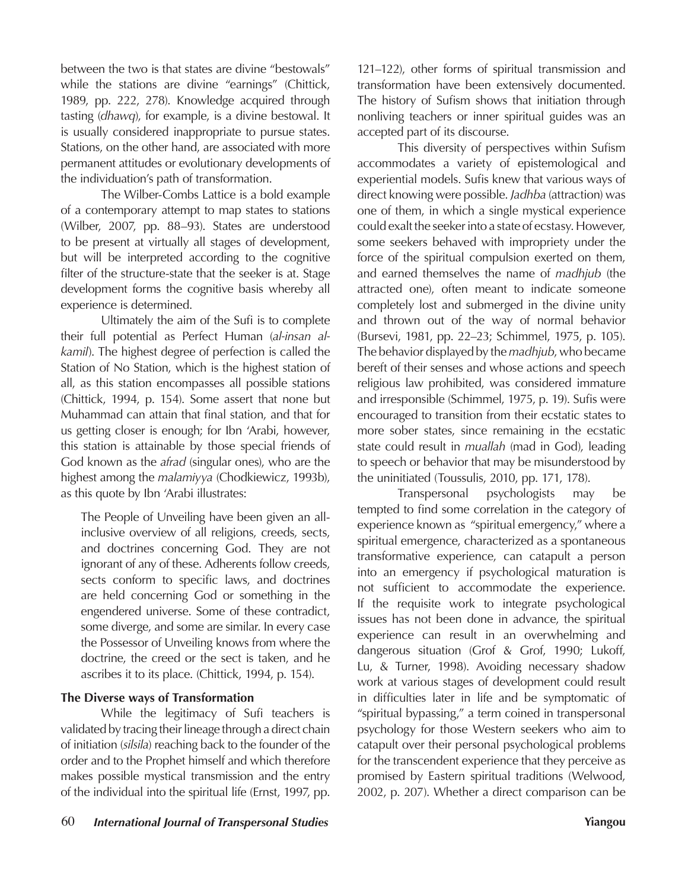between the two is that states are divine "bestowals" while the stations are divine "earnings" (Chittick, 1989, pp. 222, 278). Knowledge acquired through tasting (*dhawq*), for example, is a divine bestowal. It is usually considered inappropriate to pursue states. Stations, on the other hand, are associated with more permanent attitudes or evolutionary developments of the individuation's path of transformation.

The Wilber-Combs Lattice is a bold example of a contemporary attempt to map states to stations (Wilber, 2007, pp. 88–93). States are understood to be present at virtually all stages of development, but will be interpreted according to the cognitive filter of the structure-state that the seeker is at. Stage development forms the cognitive basis whereby all experience is determined.

Ultimately the aim of the Sufi is to complete their full potential as Perfect Human (*al-insan alkamil*). The highest degree of perfection is called the Station of No Station, which is the highest station of all, as this station encompasses all possible stations (Chittick, 1994, p. 154). Some assert that none but Muhammad can attain that final station, and that for us getting closer is enough; for Ibn 'Arabi, however, this station is attainable by those special friends of God known as the *afrad* (singular ones), who are the highest among the *malamiyya* (Chodkiewicz, 1993b), as this quote by Ibn 'Arabi illustrates:

The People of Unveiling have been given an allinclusive overview of all religions, creeds, sects, and doctrines concerning God. They are not ignorant of any of these. Adherents follow creeds, sects conform to specific laws, and doctrines are held concerning God or something in the engendered universe. Some of these contradict, some diverge, and some are similar. In every case the Possessor of Unveiling knows from where the doctrine, the creed or the sect is taken, and he ascribes it to its place. (Chittick, 1994, p. 154).

# **The Diverse ways of Transformation**

While the legitimacy of Sufi teachers is validated by tracing their lineage through a direct chain of initiation (*silsila*) reaching back to the founder of the order and to the Prophet himself and which therefore makes possible mystical transmission and the entry of the individual into the spiritual life (Ernst, 1997, pp.

121–122), other forms of spiritual transmission and transformation have been extensively documented. The history of Sufism shows that initiation through nonliving teachers or inner spiritual guides was an accepted part of its discourse.

This diversity of perspectives within Sufism accommodates a variety of epistemological and experiential models. Sufis knew that various ways of direct knowing were possible. *Jadhba* (attraction) was one of them, in which a single mystical experience could exalt the seeker into a state of ecstasy. However, some seekers behaved with impropriety under the force of the spiritual compulsion exerted on them, and earned themselves the name of *madhjub* (the attracted one), often meant to indicate someone completely lost and submerged in the divine unity and thrown out of the way of normal behavior (Bursevi, 1981, pp. 22–23; Schimmel, 1975, p. 105). The behavior displayed by the *madhjub*, who became bereft of their senses and whose actions and speech religious law prohibited, was considered immature and irresponsible (Schimmel, 1975, p. 19). Sufis were encouraged to transition from their ecstatic states to more sober states, since remaining in the ecstatic state could result in *muallah* (mad in God), leading to speech or behavior that may be misunderstood by the uninitiated (Toussulis, 2010, pp. 171, 178).

Transpersonal psychologists may be tempted to find some correlation in the category of experience known as "spiritual emergency," where a spiritual emergence, characterized as a spontaneous transformative experience, can catapult a person into an emergency if psychological maturation is not sufficient to accommodate the experience. If the requisite work to integrate psychological issues has not been done in advance, the spiritual experience can result in an overwhelming and dangerous situation (Grof & Grof, 1990; Lukoff, Lu, & Turner, 1998). Avoiding necessary shadow work at various stages of development could result in difficulties later in life and be symptomatic of "spiritual bypassing," a term coined in transpersonal psychology for those Western seekers who aim to catapult over their personal psychological problems for the transcendent experience that they perceive as promised by Eastern spiritual traditions (Welwood, 2002, p. 207). Whether a direct comparison can be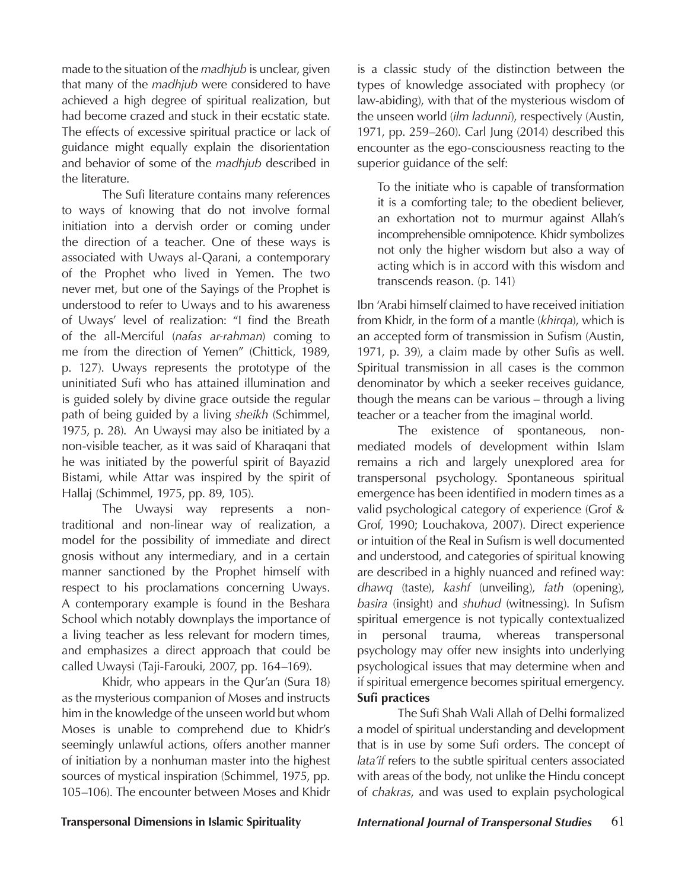made to the situation of the *madhjub* is unclear, given that many of the *madhjub* were considered to have achieved a high degree of spiritual realization, but had become crazed and stuck in their ecstatic state. The effects of excessive spiritual practice or lack of guidance might equally explain the disorientation and behavior of some of the *madhjub* described in the literature.

The Sufi literature contains many references to ways of knowing that do not involve formal initiation into a dervish order or coming under the direction of a teacher. One of these ways is associated with Uways al-Qarani, a contemporary of the Prophet who lived in Yemen. The two never met, but one of the Sayings of the Prophet is understood to refer to Uways and to his awareness of Uways' level of realization: "I find the Breath of the all-Merciful (*nafas ar-rahman*) coming to me from the direction of Yemen" (Chittick, 1989, p. 127). Uways represents the prototype of the uninitiated Sufi who has attained illumination and is guided solely by divine grace outside the regular path of being guided by a living *sheikh* (Schimmel, 1975, p. 28). An Uwaysi may also be initiated by a non-visible teacher, as it was said of Kharaqani that he was initiated by the powerful spirit of Bayazid Bistami, while Attar was inspired by the spirit of Hallaj (Schimmel, 1975, pp. 89, 105).

The Uwaysi way represents a nontraditional and non-linear way of realization, a model for the possibility of immediate and direct gnosis without any intermediary, and in a certain manner sanctioned by the Prophet himself with respect to his proclamations concerning Uways. A contemporary example is found in the Beshara School which notably downplays the importance of a living teacher as less relevant for modern times, and emphasizes a direct approach that could be called Uwaysi (Taji-Farouki, 2007, pp. 164–169).

Khidr, who appears in the Qur'an (Sura 18) as the mysterious companion of Moses and instructs him in the knowledge of the unseen world but whom Moses is unable to comprehend due to Khidr's seemingly unlawful actions, offers another manner of initiation by a nonhuman master into the highest sources of mystical inspiration (Schimmel, 1975, pp. 105–106). The encounter between Moses and Khidr is a classic study of the distinction between the types of knowledge associated with prophecy (or law-abiding), with that of the mysterious wisdom of the unseen world (*ilm ladunni*), respectively (Austin, 1971, pp. 259–260). Carl Jung (2014) described this encounter as the ego-consciousness reacting to the superior guidance of the self:

To the initiate who is capable of transformation it is a comforting tale; to the obedient believer, an exhortation not to murmur against Allah's incomprehensible omnipotence. Khidr symbolizes not only the higher wisdom but also a way of acting which is in accord with this wisdom and transcends reason. (p. 141)

Ibn 'Arabi himself claimed to have received initiation from Khidr, in the form of a mantle (*khirqa*), which is an accepted form of transmission in Sufism (Austin, 1971, p. 39), a claim made by other Sufis as well. Spiritual transmission in all cases is the common denominator by which a seeker receives guidance, though the means can be various – through a living teacher or a teacher from the imaginal world.

The existence of spontaneous, nonmediated models of development within Islam remains a rich and largely unexplored area for transpersonal psychology. Spontaneous spiritual emergence has been identified in modern times as a valid psychological category of experience (Grof & Grof, 1990; Louchakova, 2007). Direct experience or intuition of the Real in Sufism is well documented and understood, and categories of spiritual knowing are described in a highly nuanced and refined way: *dhawq* (taste), *kashf* (unveiling), *fath* (opening), *basira* (insight) and *shuhud* (witnessing). In Sufism spiritual emergence is not typically contextualized in personal trauma, whereas transpersonal psychology may offer new insights into underlying psychological issues that may determine when and if spiritual emergence becomes spiritual emergency. **Sufi practices**

The Sufi Shah Wali Allah of Delhi formalized a model of spiritual understanding and development that is in use by some Sufi orders. The concept of *lata'if* refers to the subtle spiritual centers associated with areas of the body, not unlike the Hindu concept of *chakras*, and was used to explain psychological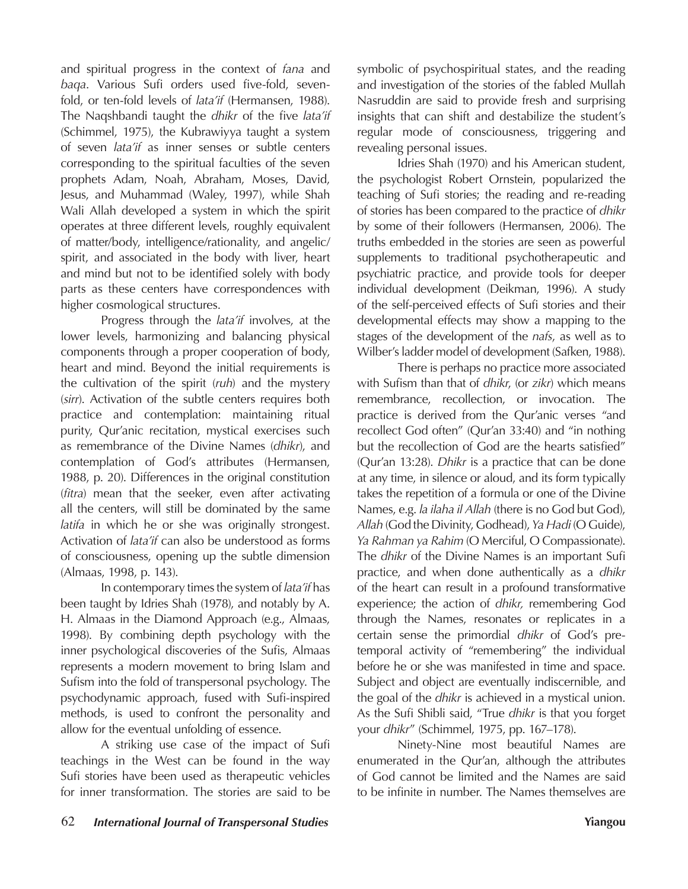and spiritual progress in the context of *fana* and *baqa*. Various Sufi orders used five-fold, sevenfold, or ten-fold levels of *lata'if* (Hermansen, 1988). The Naqshbandi taught the *dhikr* of the five *lata'if* (Schimmel, 1975), the Kubrawiyya taught a system of seven *lata'if* as inner senses or subtle centers corresponding to the spiritual faculties of the seven prophets Adam, Noah, Abraham, Moses, David, Jesus, and Muhammad (Waley, 1997), while Shah Wali Allah developed a system in which the spirit operates at three different levels, roughly equivalent of matter/body, intelligence/rationality, and angelic/ spirit, and associated in the body with liver, heart and mind but not to be identified solely with body parts as these centers have correspondences with higher cosmological structures.

Progress through the *lata'if* involves, at the lower levels, harmonizing and balancing physical components through a proper cooperation of body, heart and mind. Beyond the initial requirements is the cultivation of the spirit (*ruh*) and the mystery (*sirr*). Activation of the subtle centers requires both practice and contemplation: maintaining ritual purity, Qur'anic recitation, mystical exercises such as remembrance of the Divine Names (*dhikr*), and contemplation of God's attributes (Hermansen, 1988, p. 20). Differences in the original constitution (*fitra*) mean that the seeker, even after activating all the centers, will still be dominated by the same *latifa* in which he or she was originally strongest. Activation of *lata'if* can also be understood as forms of consciousness, opening up the subtle dimension (Almaas, 1998, p. 143).

In contemporary times the system of *lata'if* has been taught by Idries Shah (1978), and notably by A. H. Almaas in the Diamond Approach (e.g., Almaas, 1998). By combining depth psychology with the inner psychological discoveries of the Sufis, Almaas represents a modern movement to bring Islam and Sufism into the fold of transpersonal psychology. The psychodynamic approach, fused with Sufi-inspired methods, is used to confront the personality and allow for the eventual unfolding of essence.

A striking use case of the impact of Sufi teachings in the West can be found in the way Sufi stories have been used as therapeutic vehicles for inner transformation. The stories are said to be

symbolic of psychospiritual states, and the reading and investigation of the stories of the fabled Mullah Nasruddin are said to provide fresh and surprising insights that can shift and destabilize the student's regular mode of consciousness, triggering and revealing personal issues.

Idries Shah (1970) and his American student, the psychologist Robert Ornstein, popularized the teaching of Sufi stories; the reading and re-reading of stories has been compared to the practice of *dhikr* by some of their followers (Hermansen, 2006). The truths embedded in the stories are seen as powerful supplements to traditional psychotherapeutic and psychiatric practice, and provide tools for deeper individual development (Deikman, 1996). A study of the self-perceived effects of Sufi stories and their developmental effects may show a mapping to the stages of the development of the *nafs*, as well as to Wilber's ladder model of development (Safken, 1988).

There is perhaps no practice more associated with Sufism than that of *dhikr*, (or *zikr*) which means remembrance, recollection, or invocation. The practice is derived from the Qur'anic verses "and recollect God often" (Qur'an 33:40) and "in nothing but the recollection of God are the hearts satisfied" (Qur'an 13:28). *Dhikr* is a practice that can be done at any time, in silence or aloud, and its form typically takes the repetition of a formula or one of the Divine Names, e.g. *la ilaha il Allah* (there is no God but God), *Allah* (God the Divinity, Godhead), *Ya Hadi* (O Guide), *Ya Rahman ya Rahim* (O Merciful, O Compassionate). The *dhikr* of the Divine Names is an important Sufi practice, and when done authentically as a *dhikr* of the heart can result in a profound transformative experience; the action of *dhikr,* remembering God through the Names, resonates or replicates in a certain sense the primordial *dhikr* of God's pretemporal activity of "remembering" the individual before he or she was manifested in time and space. Subject and object are eventually indiscernible, and the goal of the *dhikr* is achieved in a mystical union. As the Sufi Shibli said, "True *dhikr* is that you forget your *dhikr*" (Schimmel, 1975, pp. 167–178).

Ninety-Nine most beautiful Names are enumerated in the Qur'an, although the attributes of God cannot be limited and the Names are said to be infinite in number. The Names themselves are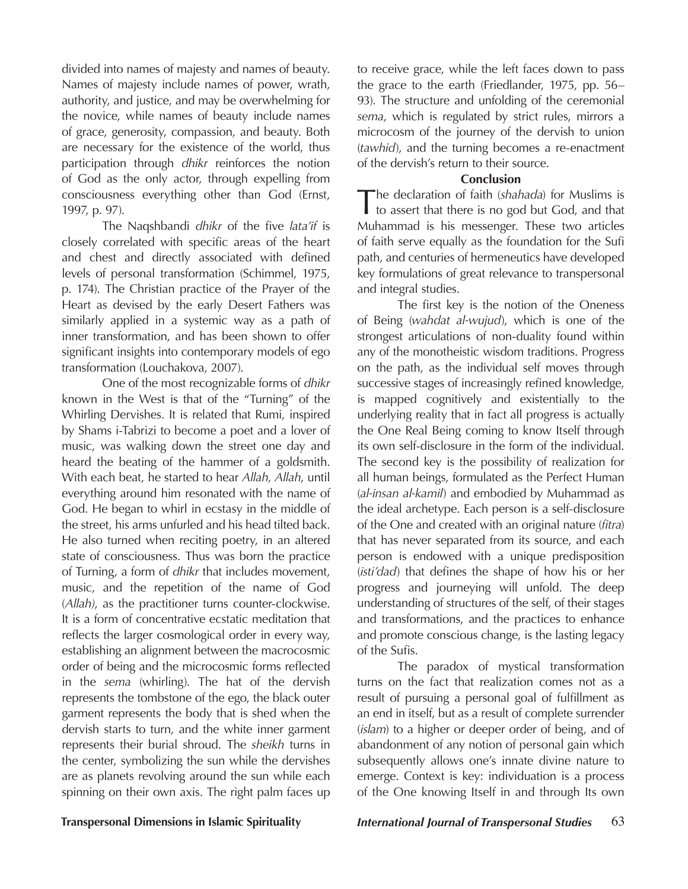divided into names of majesty and names of beauty. Names of majesty include names of power, wrath, authority, and justice, and may be overwhelming for the novice, while names of beauty include names of grace, generosity, compassion, and beauty. Both are necessary for the existence of the world, thus participation through *dhikr* reinforces the notion of God as the only actor, through expelling from consciousness everything other than God (Ernst, 1997, p. 97).

The Naqshbandi *dhikr* of the five *lata'if* is closely correlated with specific areas of the heart and chest and directly associated with defined levels of personal transformation (Schimmel, 1975, p. 174). The Christian practice of the Prayer of the Heart as devised by the early Desert Fathers was similarly applied in a systemic way as a path of inner transformation, and has been shown to offer significant insights into contemporary models of ego transformation (Louchakova, 2007).

One of the most recognizable forms of *dhikr* known in the West is that of the "Turning" of the Whirling Dervishes. It is related that Rumi, inspired by Shams i-Tabrizi to become a poet and a lover of music, was walking down the street one day and heard the beating of the hammer of a goldsmith. With each beat, he started to hear *Allah*, *Allah*, until everything around him resonated with the name of God. He began to whirl in ecstasy in the middle of the street, his arms unfurled and his head tilted back. He also turned when reciting poetry, in an altered state of consciousness. Thus was born the practice of Turning, a form of *dhikr* that includes movement, music, and the repetition of the name of God (*Allah)*, as the practitioner turns counter-clockwise. It is a form of concentrative ecstatic meditation that reflects the larger cosmological order in every way, establishing an alignment between the macrocosmic order of being and the microcosmic forms reflected in the *sema* (whirling). The hat of the dervish represents the tombstone of the ego, the black outer garment represents the body that is shed when the dervish starts to turn, and the white inner garment represents their burial shroud. The *sheikh* turns in the center, symbolizing the sun while the dervishes are as planets revolving around the sun while each spinning on their own axis. The right palm faces up

to receive grace, while the left faces down to pass the grace to the earth (Friedlander, 1975, pp. 56– 93). The structure and unfolding of the ceremonial *sema*, which is regulated by strict rules, mirrors a microcosm of the journey of the dervish to union (*tawhid*), and the turning becomes a re-enactment of the dervish's return to their source.

### **Conclusion**

The declaration of faith (*shahada*) for Muslims is to assert that there is no god but God, and that Muhammad is his messenger. These two articles of faith serve equally as the foundation for the Sufi path, and centuries of hermeneutics have developed key formulations of great relevance to transpersonal and integral studies.

The first key is the notion of the Oneness of Being (*wahdat al-wujud*), which is one of the strongest articulations of non-duality found within any of the monotheistic wisdom traditions. Progress on the path, as the individual self moves through successive stages of increasingly refined knowledge, is mapped cognitively and existentially to the underlying reality that in fact all progress is actually the One Real Being coming to know Itself through its own self-disclosure in the form of the individual. The second key is the possibility of realization for all human beings, formulated as the Perfect Human (*al-insan al-kamil*) and embodied by Muhammad as the ideal archetype. Each person is a self-disclosure of the One and created with an original nature (*fitra*) that has never separated from its source, and each person is endowed with a unique predisposition (*isti'dad*) that defines the shape of how his or her progress and journeying will unfold. The deep understanding of structures of the self, of their stages and transformations, and the practices to enhance and promote conscious change, is the lasting legacy of the Sufis.

The paradox of mystical transformation turns on the fact that realization comes not as a result of pursuing a personal goal of fulfillment as an end in itself, but as a result of complete surrender (*islam*) to a higher or deeper order of being, and of abandonment of any notion of personal gain which subsequently allows one's innate divine nature to emerge. Context is key: individuation is a process of the One knowing Itself in and through Its own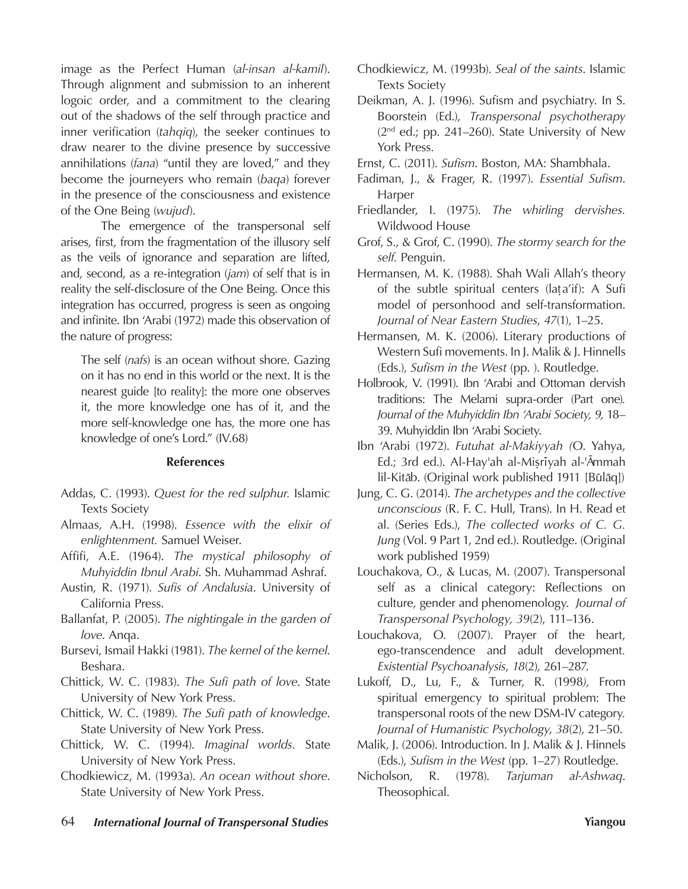image as the Perfect Human (*al-insan al-kamil*). Through alignment and submission to an inherent logoic order, and a commitment to the clearing out of the shadows of the self through practice and inner verification (*tahqiq*), the seeker continues to draw nearer to the divine presence by successive annihilations (*fana*) "until they are loved," and they become the journeyers who remain (*baqa*) forever in the presence of the consciousness and existence of the One Being (*wujud*).

The emergence of the transpersonal self arises, first, from the fragmentation of the illusory self as the veils of ignorance and separation are lifted, and, second, as a re-integration (*jam*) of self that is in reality the self-disclosure of the One Being. Once this integration has occurred, progress is seen as ongoing and infinite. Ibn 'Arabi (1972) made this observation of the nature of progress:

The self (*nafs*) is an ocean without shore. Gazing on it has no end in this world or the next. It is the nearest guide [to reality]: the more one observes it, the more knowledge one has of it, and the more self-knowledge one has, the more one has knowledge of one's Lord." (IV.68)

## **References**

- Addas, C. (1993). *Quest for the red sulphur.* Islamic Texts Society
- Almaas, A.H. (1998). *Essence with the elixir of enlightenment.* Samuel Weiser.
- Affifi, A.E. (1964). *The mystical philosophy of Muhyiddin Ibnul Arabi*. Sh. Muhammad Ashraf.
- Austin, R. (1971). *Sufis of Andalusia*. University of California Press.
- Ballanfat, P. (2005). *The nightingale in the garden of love*. Anqa.
- Bursevi, Ismail Hakki (1981). *The kernel of the kernel*. Beshara.
- Chittick, W. C. (1983). *The Sufi path of love*. State University of New York Press.
- Chittick, W. C. (1989). *The Sufi path of knowledge*. State University of New York Press.
- Chittick, W. C. (1994). *Imaginal worlds.* State University of New York Press.
- Chodkiewicz, M. (1993a). *An ocean without shore*. State University of New York Press.
- Chodkiewicz, M. (1993b). *Seal of the saints*. Islamic Texts Society
- Deikman, A. J. (1996). Sufism and psychiatry. In S. Boorstein (Ed.), *Transpersonal psychotherapy*   $(2<sup>nd</sup>$  ed.; pp. 241–260). State University of New York Press.
- Ernst, C. (2011). *Sufism*. Boston, MA: Shambhala.
- Fadiman, J., & Frager, R. (1997). *Essential Sufism*. Harper
- Friedlander, I. (1975). *The whirling dervishes.* Wildwood House
- Grof, S., & Grof, C. (1990). *The stormy search for the self.* Penguin.
- Hermansen, M. K. (1988). Shah Wali Allah's theory of the subtle spiritual centers (laṭa'if): A Sufi model of personhood and self-transformation. *Journal of Near Eastern Studies*, *47*(1), 1–25.
- Hermansen, M. K. (2006). Literary productions of Western Sufi movements. In J. Malik & J. Hinnells (Eds.), *Sufism in the West* (pp. ). Routledge.
- Holbrook, V. (1991). Ibn 'Arabi and Ottoman dervish traditions: The Melami supra-order (Part one)*. Journal of the Muhyiddin Ibn 'Arabi Society, 9,* 18– 39. Muhyiddin Ibn 'Arabi Society.
- Ibn 'Arabi (1972). *Futuhat al-Makiyyah (*O. Yahya, ed.; 3rd ed.). Al-Hay'ah al-Misriyah al-'Āmmah lil-Kitāb. (Original work published 1911 [Būlāq])
- Jung, C. G. (2014). *The archetypes and the collective unconscious* (R. F. C. Hull, Trans). In H. Read et al. (Series Eds.), *The collected works of C. G. Jung* (Vol. 9 Part 1, 2nd ed.). Routledge. (Original work published 1959)
- Louchakova, O., & Lucas, M. (2007). Transpersonal self as a clinical category: Reflections on culture, gender and phenomenology. *Journal of Transpersonal Psychology, 39*(2), 111–136.
- Louchakova, O. (2007). Prayer of the heart, ego-transcendence and adult development*. Existential Psychoanalysis*, *18*(2)*,* 261–287.
- Lukoff, D., Lu, F., & Turner, R. (1998*),* From spiritual emergency to spiritual problem: The transpersonal roots of the new DSM-IV category*. Journal of Humanistic Psychology*, *38*(2), 21–50.
- Malik, J. (2006). Introduction. In J. Malik & J. Hinnels (Eds.), *Sufism in the West* (pp. 1–27) Routledge.
- Nicholson, R. (1978). *Tarjuman al-Ashwaq*. Theosophical.